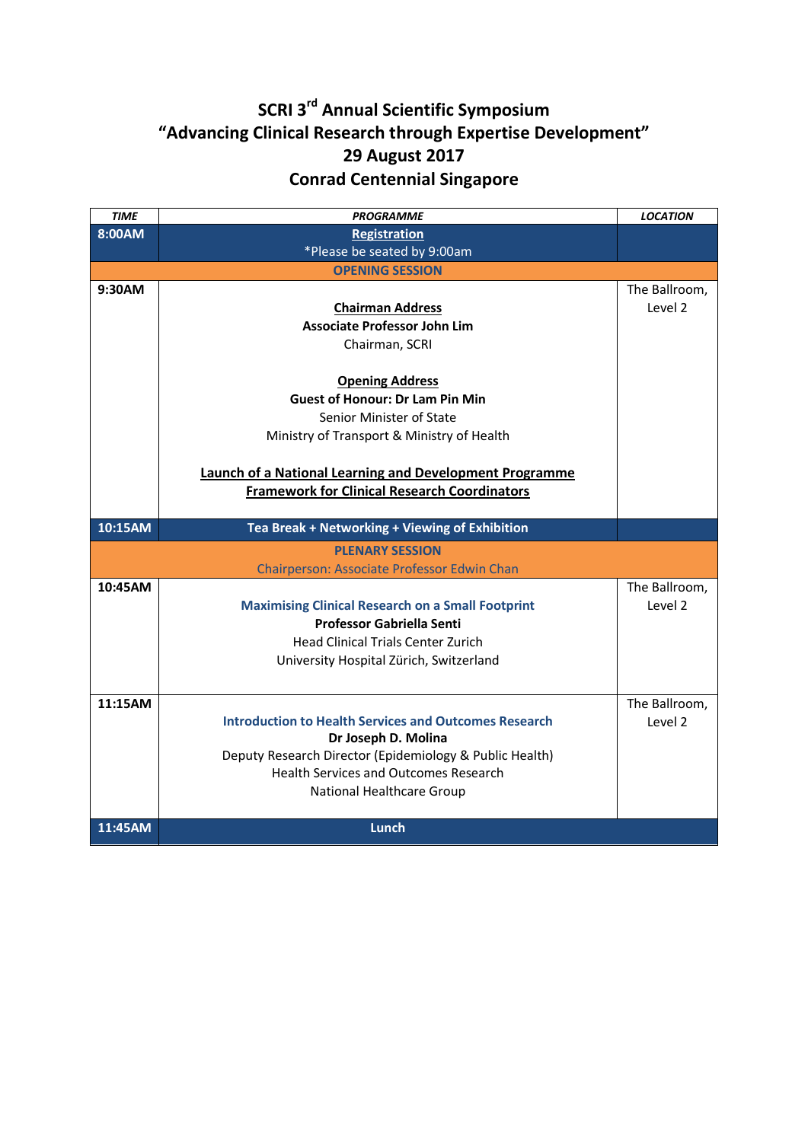## **SCRI 3rd Annual Scientific Symposium "Advancing Clinical Research through Expertise Development" 29 August 2017 Conrad Centennial Singapore**

| <b>TIME</b>            | <b>PROGRAMME</b>                                               | <b>LOCATION</b>    |  |  |  |
|------------------------|----------------------------------------------------------------|--------------------|--|--|--|
| 8:00AM                 | <b>Registration</b>                                            |                    |  |  |  |
|                        | *Please be seated by 9:00am                                    |                    |  |  |  |
| <b>OPENING SESSION</b> |                                                                |                    |  |  |  |
| 9:30AM                 |                                                                | The Ballroom,      |  |  |  |
|                        | <b>Chairman Address</b>                                        | Level 2            |  |  |  |
|                        | <b>Associate Professor John Lim</b>                            |                    |  |  |  |
|                        | Chairman, SCRI                                                 |                    |  |  |  |
|                        |                                                                |                    |  |  |  |
|                        | <b>Opening Address</b>                                         |                    |  |  |  |
|                        | <b>Guest of Honour: Dr Lam Pin Min</b>                         |                    |  |  |  |
|                        | Senior Minister of State                                       |                    |  |  |  |
|                        | Ministry of Transport & Ministry of Health                     |                    |  |  |  |
|                        |                                                                |                    |  |  |  |
|                        | <b>Launch of a National Learning and Development Programme</b> |                    |  |  |  |
|                        | <b>Framework for Clinical Research Coordinators</b>            |                    |  |  |  |
|                        |                                                                |                    |  |  |  |
|                        |                                                                |                    |  |  |  |
| 10:15AM                | Tea Break + Networking + Viewing of Exhibition                 |                    |  |  |  |
|                        | <b>PLENARY SESSION</b>                                         |                    |  |  |  |
|                        | Chairperson: Associate Professor Edwin Chan                    |                    |  |  |  |
| 10:45AM                |                                                                | The Ballroom,      |  |  |  |
|                        | <b>Maximising Clinical Research on a Small Footprint</b>       | Level <sub>2</sub> |  |  |  |
|                        | <b>Professor Gabriella Senti</b>                               |                    |  |  |  |
|                        | <b>Head Clinical Trials Center Zurich</b>                      |                    |  |  |  |
|                        | University Hospital Zürich, Switzerland                        |                    |  |  |  |
|                        |                                                                |                    |  |  |  |
| 11:15AM                |                                                                | The Ballroom,      |  |  |  |
|                        | <b>Introduction to Health Services and Outcomes Research</b>   | Level 2            |  |  |  |
|                        | Dr Joseph D. Molina                                            |                    |  |  |  |
|                        | Deputy Research Director (Epidemiology & Public Health)        |                    |  |  |  |
|                        | <b>Health Services and Outcomes Research</b>                   |                    |  |  |  |
|                        | National Healthcare Group                                      |                    |  |  |  |
| 11:45AM                | Lunch                                                          |                    |  |  |  |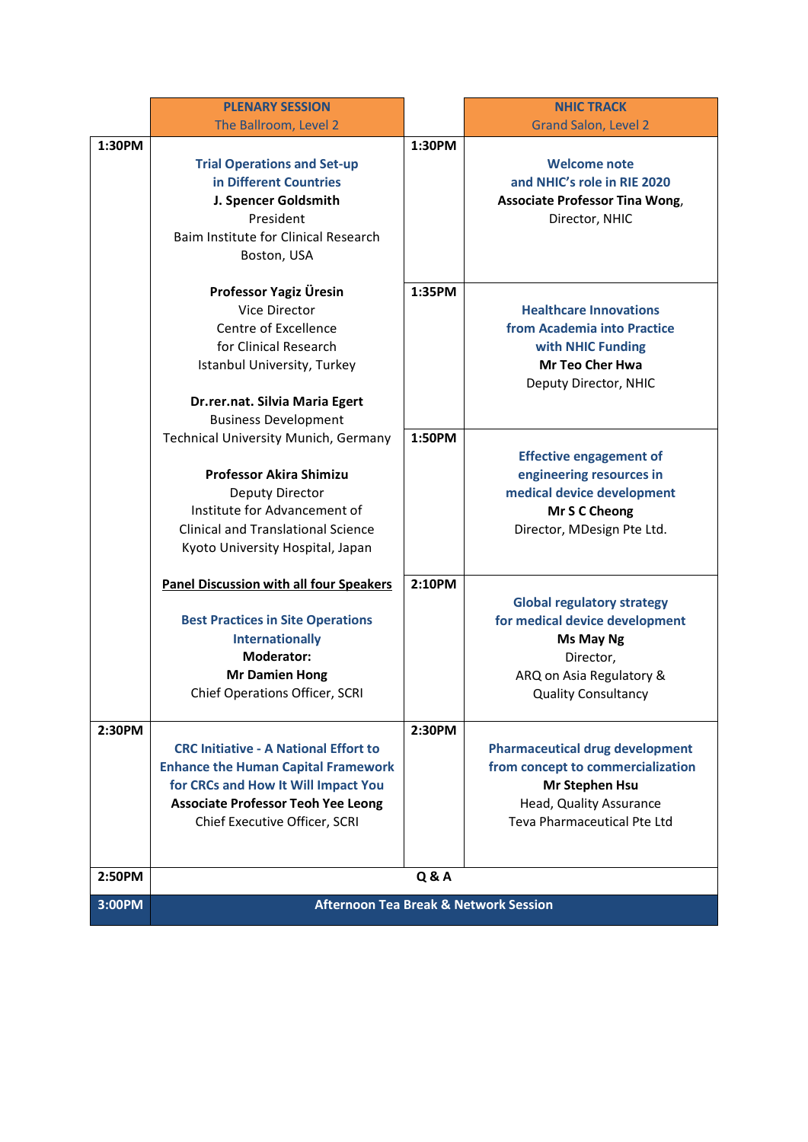|        | <b>PLENARY SESSION</b>                           |        | <b>NHIC TRACK</b>                      |
|--------|--------------------------------------------------|--------|----------------------------------------|
|        | The Ballroom, Level 2                            |        | <b>Grand Salon, Level 2</b>            |
| 1:30PM |                                                  | 1:30PM |                                        |
|        | <b>Trial Operations and Set-up</b>               |        | <b>Welcome note</b>                    |
|        | in Different Countries                           |        | and NHIC's role in RIE 2020            |
|        | J. Spencer Goldsmith                             |        | <b>Associate Professor Tina Wong,</b>  |
|        | President                                        |        | Director, NHIC                         |
|        | Baim Institute for Clinical Research             |        |                                        |
|        | Boston, USA                                      |        |                                        |
|        |                                                  |        |                                        |
|        | Professor Yagiz Üresin                           | 1:35PM |                                        |
|        | Vice Director                                    |        | <b>Healthcare Innovations</b>          |
|        | Centre of Excellence                             |        | from Academia into Practice            |
|        | for Clinical Research                            |        | with NHIC Funding                      |
|        | Istanbul University, Turkey                      |        | <b>Mr Teo Cher Hwa</b>                 |
|        |                                                  |        | Deputy Director, NHIC                  |
|        | Dr.rer.nat. Silvia Maria Egert                   |        |                                        |
|        | <b>Business Development</b>                      |        |                                        |
|        | <b>Technical University Munich, Germany</b>      | 1:50PM |                                        |
|        |                                                  |        | <b>Effective engagement of</b>         |
|        | <b>Professor Akira Shimizu</b>                   |        | engineering resources in               |
|        | Deputy Director                                  |        | medical device development             |
|        | Institute for Advancement of                     |        | Mr S C Cheong                          |
|        | <b>Clinical and Translational Science</b>        |        | Director, MDesign Pte Ltd.             |
|        | Kyoto University Hospital, Japan                 |        |                                        |
|        |                                                  |        |                                        |
|        | <b>Panel Discussion with all four Speakers</b>   | 2:10PM |                                        |
|        |                                                  |        | <b>Global regulatory strategy</b>      |
|        | <b>Best Practices in Site Operations</b>         |        | for medical device development         |
|        | <b>Internationally</b>                           |        | Ms May Ng                              |
|        | Moderator:                                       |        | Director,                              |
|        | <b>Mr Damien Hong</b>                            |        | ARQ on Asia Regulatory &               |
|        | Chief Operations Officer, SCRI                   |        | <b>Quality Consultancy</b>             |
|        |                                                  |        |                                        |
| 2:30PM |                                                  | 2:30PM |                                        |
|        | <b>CRC Initiative - A National Effort to</b>     |        | <b>Pharmaceutical drug development</b> |
|        | <b>Enhance the Human Capital Framework</b>       |        | from concept to commercialization      |
|        | for CRCs and How It Will Impact You              |        | Mr Stephen Hsu                         |
|        | <b>Associate Professor Teoh Yee Leong</b>        |        | Head, Quality Assurance                |
|        | Chief Executive Officer, SCRI                    |        | Teva Pharmaceutical Pte Ltd            |
|        |                                                  |        |                                        |
|        |                                                  |        |                                        |
| 2:50PM | <b>Q&amp;A</b>                                   |        |                                        |
| 3:00PM | <b>Afternoon Tea Break &amp; Network Session</b> |        |                                        |